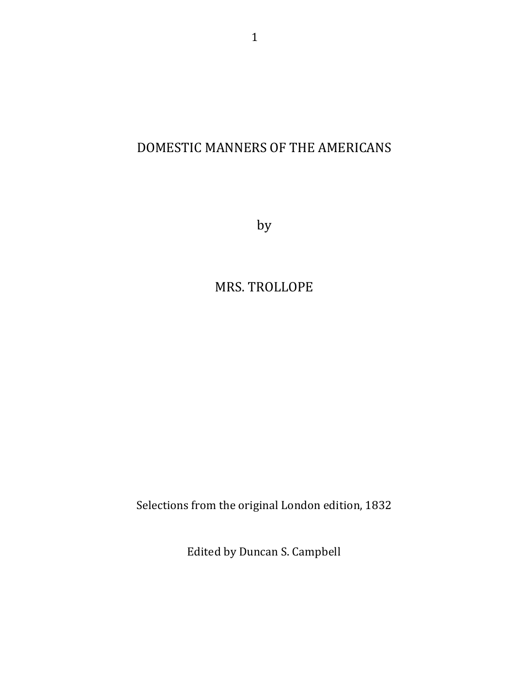# DOMESTIC MANNERS OF THE AMERICANS

by

MRS. TROLLOPE

Selections from the original London edition, 1832

Edited by Duncan S. Campbell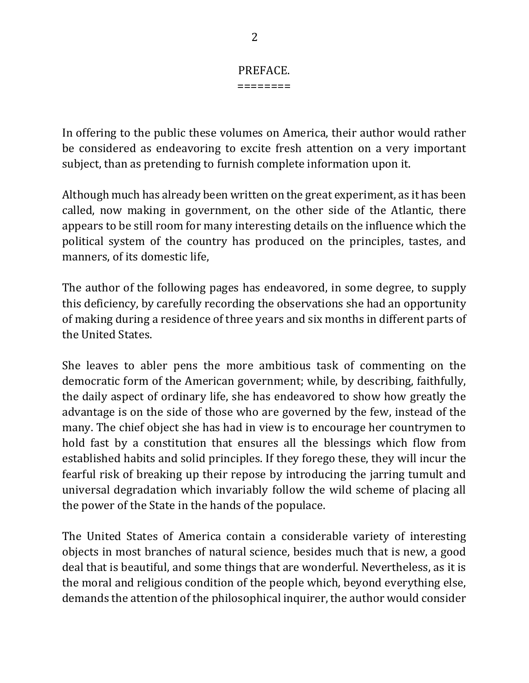# PREFACE.

========

In offering to the public these volumes on America, their author would rather be considered as endeavoring to excite fresh attention on a very important subject, than as pretending to furnish complete information upon it.

Although much has already been written on the great experiment, as it has been called, now making in government, on the other side of the Atlantic, there appears to be still room for many interesting details on the influence which the political system of the country has produced on the principles, tastes, and manners, of its domestic life,

The author of the following pages has endeavored, in some degree, to supply this deficiency, by carefully recording the observations she had an opportunity of making during a residence of three years and six months in different parts of the United States.

She leaves to abler pens the more ambitious task of commenting on the democratic form of the American government; while, by describing, faithfully, the daily aspect of ordinary life, she has endeavored to show how greatly the advantage is on the side of those who are governed by the few, instead of the many. The chief object she has had in view is to encourage her countrymen to hold fast by a constitution that ensures all the blessings which flow from established habits and solid principles. If they forego these, they will incur the fearful risk of breaking up their repose by introducing the jarring tumult and universal degradation which invariably follow the wild scheme of placing all the power of the State in the hands of the populace.

The United States of America contain a considerable variety of interesting objects in most branches of natural science, besides much that is new, a good deal that is beautiful, and some things that are wonderful. Nevertheless, as it is the moral and religious condition of the people which, beyond everything else, demands the attention of the philosophical inquirer, the author would consider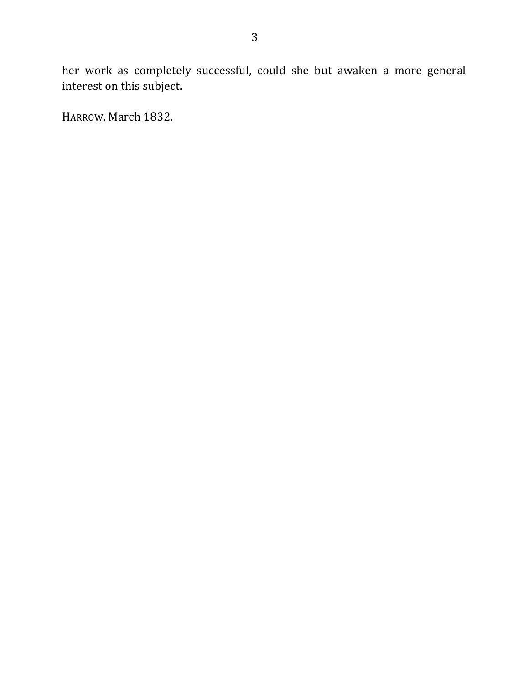her work as completely successful, could she but awaken a more general interest on this subject.

HARROW, March 1832.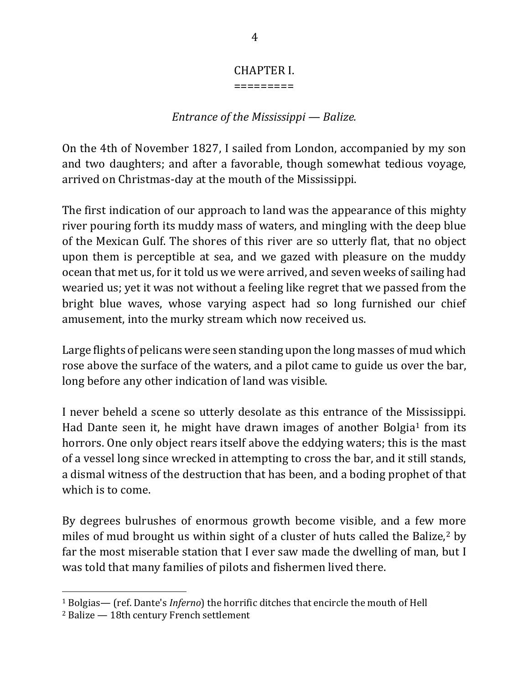## CHAPTER I.

=========

# *Entrance of the Mississippi* — *Balize.*

On the 4th of November 1827, I sailed from London, accompanied by my son and two daughters; and after a favorable, though somewhat tedious voyage, arrived on Christmas-day at the mouth of the Mississippi.

The first indication of our approach to land was the appearance of this mighty river pouring forth its muddy mass of waters, and mingling with the deep blue of the Mexican Gulf. The shores of this river are so utterly flat, that no object upon them is perceptible at sea, and we gazed with pleasure on the muddy ocean that met us, for it told us we were arrived, and seven weeks of sailing had wearied us; yet it was not without a feeling like regret that we passed from the bright blue waves, whose varying aspect had so long furnished our chief amusement, into the murky stream which now received us.

Large flights of pelicans were seen standing upon the long masses of mud which rose above the surface of the waters, and a pilot came to guide us over the bar, long before any other indication of land was visible.

I never beheld a scene so utterly desolate as this entrance of the Mississippi. Had Dante seen it, he might have drawn images of another Bolgia<sup>1</sup> from its horrors. One only object rears itself above the eddying waters; this is the mast of a vessel long since wrecked in attempting to cross the bar, and it still stands, a dismal witness of the destruction that has been, and a boding prophet of that which is to come.

By degrees bulrushes of enormous growth become visible, and a few more miles of mud brought us within sight of a cluster of huts called the Balize,<sup>2</sup> by far the most miserable station that I ever saw made the dwelling of man, but I was told that many families of pilots and fishermen lived there.

<sup>&</sup>lt;sup>1</sup> Bolgias— (ref. Dante's *Inferno*) the horrific ditches that encircle the mouth of Hell

 $2$  Balize  $-18$ th century French settlement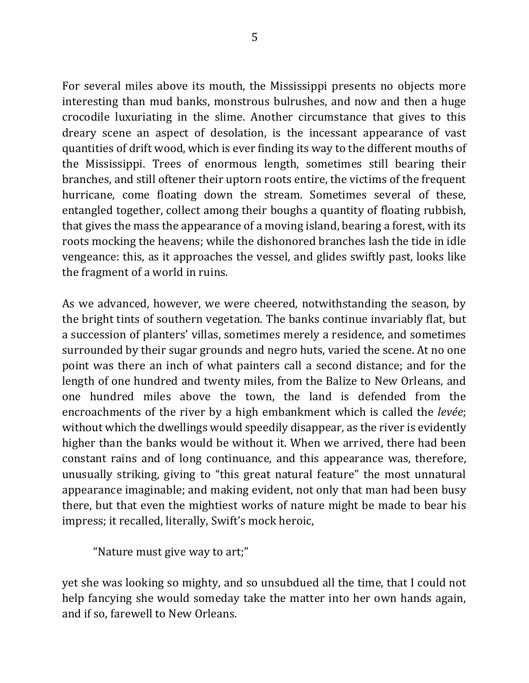For several miles above its mouth, the Mississippi presents no objects more interesting than mud banks, monstrous bulrushes, and now and then a huge crocodile luxuriating in the slime. Another circumstance that gives to this dreary scene an aspect of desolation, is the incessant appearance of vast quantities of drift wood, which is ever finding its way to the different mouths of the Mississippi. Trees of enormous length, sometimes still bearing their branches, and still oftener their uptorn roots entire, the victims of the frequent hurricane, come floating down the stream. Sometimes several of these, entangled together, collect among their boughs a quantity of floating rubbish, that gives the mass the appearance of a moving island, bearing a forest, with its roots mocking the heavens; while the dishonored branches lash the tide in idle vengeance: this, as it approaches the vessel, and glides swiftly past, looks like the fragment of a world in ruins.

As we advanced, however, we were cheered, notwithstanding the season, by the bright tints of southern vegetation. The banks continue invariably flat, but a succession of planters' villas, sometimes merely a residence, and sometimes surrounded by their sugar grounds and negro huts, varied the scene. At no one point was there an inch of what painters call a second distance; and for the length of one hundred and twenty miles, from the Balize to New Orleans, and one hundred miles above the town, the land is defended from the encroachments of the river by a high embankment which is called the *levée*; without which the dwellings would speedily disappear, as the river is evidently higher than the banks would be without it. When we arrived, there had been constant rains and of long continuance, and this appearance was, therefore, unusually striking, giving to "this great natural feature" the most unnatural appearance imaginable; and making evident, not only that man had been busy there, but that even the mightiest works of nature might be made to bear his impress; it recalled, literally, Swift's mock heroic,

"Nature must give way to art;"

yet she was looking so mighty, and so unsubdued all the time, that I could not help fancying she would someday take the matter into her own hands again, and if so, farewell to New Orleans.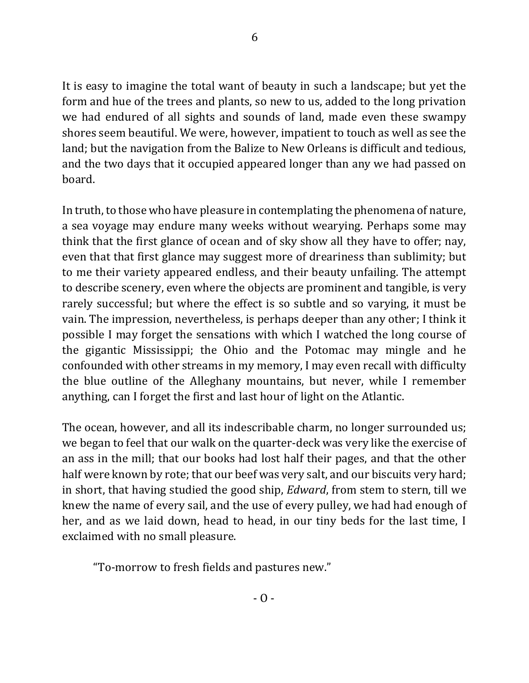It is easy to imagine the total want of beauty in such a landscape; but yet the form and hue of the trees and plants, so new to us, added to the long privation we had endured of all sights and sounds of land, made even these swampy shores seem beautiful. We were, however, impatient to touch as well as see the land; but the navigation from the Balize to New Orleans is difficult and tedious, and the two days that it occupied appeared longer than any we had passed on board. 

In truth, to those who have pleasure in contemplating the phenomena of nature, a sea voyage may endure many weeks without wearying. Perhaps some may think that the first glance of ocean and of sky show all they have to offer; nay, even that that first glance may suggest more of dreariness than sublimity; but to me their variety appeared endless, and their beauty unfailing. The attempt to describe scenery, even where the objects are prominent and tangible, is very rarely successful; but where the effect is so subtle and so varying, it must be vain. The impression, nevertheless, is perhaps deeper than any other; I think it possible I may forget the sensations with which I watched the long course of the gigantic Mississippi; the Ohio and the Potomac may mingle and he confounded with other streams in my memory, I may even recall with difficulty the blue outline of the Alleghany mountains, but never, while I remember anything, can I forget the first and last hour of light on the Atlantic.

The ocean, however, and all its indescribable charm, no longer surrounded us; we began to feel that our walk on the quarter-deck was very like the exercise of an ass in the mill; that our books had lost half their pages, and that the other half were known by rote; that our beef was very salt, and our biscuits very hard; in short, that having studied the good ship, *Edward*, from stem to stern, till we knew the name of every sail, and the use of every pulley, we had had enough of her, and as we laid down, head to head, in our tiny beds for the last time, I exclaimed with no small pleasure.

"To-morrow to fresh fields and pastures new."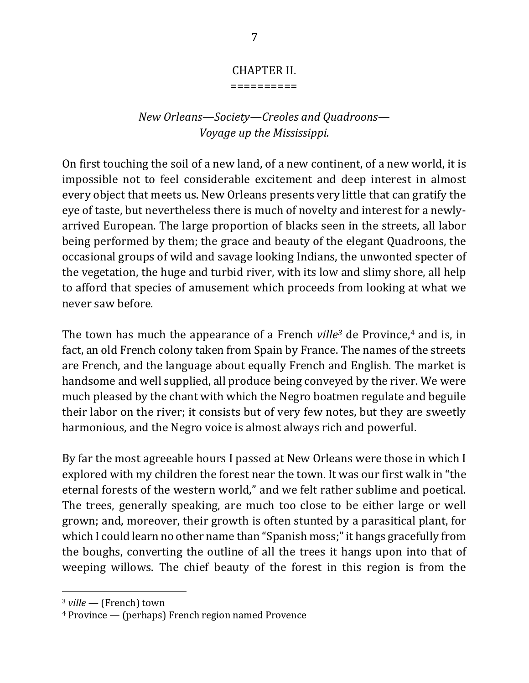#### **CHAPTER II.**

==========

# *New Orleans—Society—Creoles and Quadroons— Voyage up the Mississippi.*

On first touching the soil of a new land, of a new continent, of a new world, it is impossible not to feel considerable excitement and deep interest in almost every object that meets us. New Orleans presents very little that can gratify the eye of taste, but nevertheless there is much of novelty and interest for a newlyarrived European. The large proportion of blacks seen in the streets, all labor being performed by them; the grace and beauty of the elegant Quadroons, the occasional groups of wild and savage looking Indians, the unwonted specter of the vegetation, the huge and turbid river, with its low and slimy shore, all help to afford that species of amusement which proceeds from looking at what we never saw before.

The town has much the appearance of a French *ville<sup>3</sup>* de Province,<sup>4</sup> and is, in fact, an old French colony taken from Spain by France. The names of the streets are French, and the language about equally French and English. The market is handsome and well supplied, all produce being conveyed by the river. We were much pleased by the chant with which the Negro boatmen regulate and beguile their labor on the river; it consists but of very few notes, but they are sweetly harmonious, and the Negro voice is almost always rich and powerful.

By far the most agreeable hours I passed at New Orleans were those in which I explored with my children the forest near the town. It was our first walk in "the eternal forests of the western world," and we felt rather sublime and poetical. The trees, generally speaking, are much too close to be either large or well grown; and, moreover, their growth is often stunted by a parasitical plant, for which I could learn no other name than "Spanish moss;" it hangs gracefully from the boughs, converting the outline of all the trees it hangs upon into that of weeping willows. The chief beauty of the forest in this region is from the

<sup>&</sup>lt;sup>3</sup> *ville* — (French) town

 $4$  Province — (perhaps) French region named Provence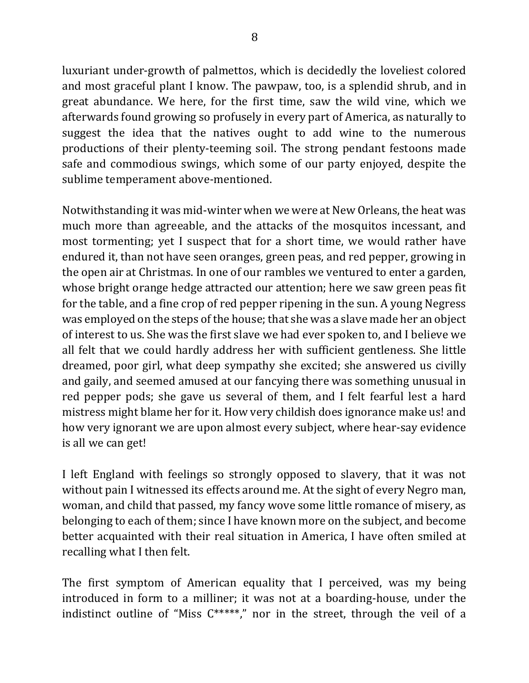luxuriant under-growth of palmettos, which is decidedly the loveliest colored and most graceful plant I know. The pawpaw, too, is a splendid shrub, and in great abundance. We here, for the first time, saw the wild vine, which we afterwards found growing so profusely in every part of America, as naturally to suggest the idea that the natives ought to add wine to the numerous productions of their plenty-teeming soil. The strong pendant festoons made safe and commodious swings, which some of our party enjoyed, despite the sublime temperament above-mentioned.

Notwithstanding it was mid-winter when we were at New Orleans, the heat was much more than agreeable, and the attacks of the mosquitos incessant, and most tormenting; yet I suspect that for a short time, we would rather have endured it, than not have seen oranges, green peas, and red pepper, growing in the open air at Christmas. In one of our rambles we ventured to enter a garden, whose bright orange hedge attracted our attention; here we saw green peas fit for the table, and a fine crop of red pepper ripening in the sun. A young Negress was employed on the steps of the house; that she was a slave made her an object of interest to us. She was the first slave we had ever spoken to, and I believe we all felt that we could hardly address her with sufficient gentleness. She little dreamed, poor girl, what deep sympathy she excited; she answered us civilly and gaily, and seemed amused at our fancying there was something unusual in red pepper pods; she gave us several of them, and I felt fearful lest a hard mistress might blame her for it. How very childish does ignorance make us! and how very ignorant we are upon almost every subject, where hear-say evidence is all we can get!

I left England with feelings so strongly opposed to slavery, that it was not without pain I witnessed its effects around me. At the sight of every Negro man, woman, and child that passed, my fancy wove some little romance of misery, as belonging to each of them; since I have known more on the subject, and become better acquainted with their real situation in America, I have often smiled at recalling what I then felt.

The first symptom of American equality that I perceived, was my being introduced in form to a milliner; it was not at a boarding-house, under the indistinct outline of "Miss  $C^{***}$ "," nor in the street, through the veil of a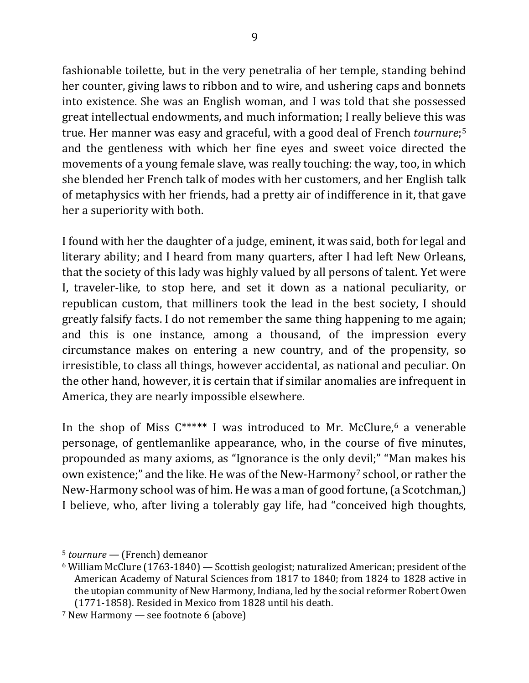fashionable toilette, but in the very penetralia of her temple, standing behind her counter, giving laws to ribbon and to wire, and ushering caps and bonnets into existence. She was an English woman, and I was told that she possessed great intellectual endowments, and much information; I really believe this was true. Her manner was easy and graceful, with a good deal of French *tournure*;<sup>5</sup> and the gentleness with which her fine eyes and sweet voice directed the movements of a young female slave, was really touching: the way, too, in which she blended her French talk of modes with her customers, and her English talk of metaphysics with her friends, had a pretty air of indifference in it, that gave her a superiority with both.

I found with her the daughter of a judge, eminent, it was said, both for legal and literary ability; and I heard from many quarters, after I had left New Orleans, that the society of this lady was highly valued by all persons of talent. Yet were I, traveler-like, to stop here, and set it down as a national peculiarity, or republican custom, that milliners took the lead in the best society, I should greatly falsify facts. I do not remember the same thing happening to me again; and this is one instance, among a thousand, of the impression every circumstance makes on entering a new country, and of the propensity, so irresistible, to class all things, however accidental, as national and peculiar. On the other hand, however, it is certain that if similar anomalies are infrequent in America, they are nearly impossible elsewhere.

In the shop of Miss  $C^{****}$  I was introduced to Mr. McClure,<sup>6</sup> a venerable personage, of gentlemanlike appearance, who, in the course of five minutes, propounded as many axioms, as "Ignorance is the only devil;" "Man makes his own existence;" and the like. He was of the New-Harmony<sup>7</sup> school, or rather the New-Harmony school was of him. He was a man of good fortune, (a Scotchman,) I believe, who, after living a tolerably gay life, had "conceived high thoughts,

<sup>&</sup>lt;sup>5</sup> *tournure* — (French) demeanor

 $6$  William McClure (1763-1840) — Scottish geologist; naturalized American; president of the American Academy of Natural Sciences from 1817 to 1840; from 1824 to 1828 active in the utopian community of New Harmony, Indiana, led by the social reformer Robert Owen (1771-1858). Resided in Mexico from 1828 until his death.

 $7$  New Harmony — see footnote 6 (above)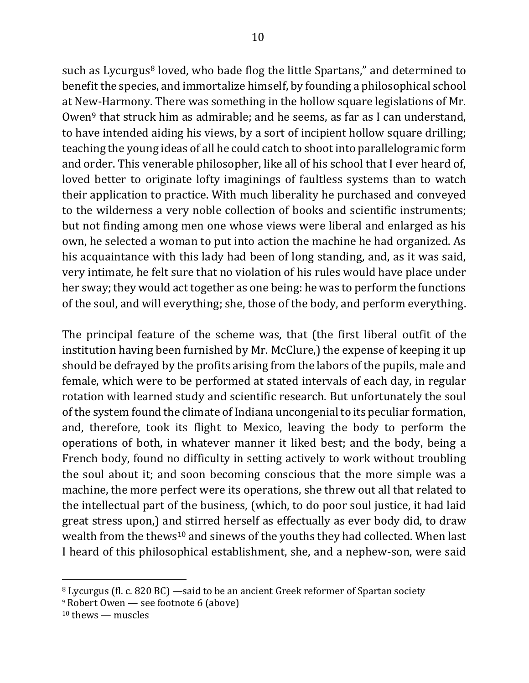such as Lycurgus<sup>8</sup> loved, who bade flog the little Spartans," and determined to benefit the species, and immortalize himself, by founding a philosophical school at New-Harmony. There was something in the hollow square legislations of Mr. Owen<sup>9</sup> that struck him as admirable; and he seems, as far as I can understand, to have intended aiding his views, by a sort of incipient hollow square drilling; teaching the young ideas of all he could catch to shoot into parallelogramic form and order. This venerable philosopher, like all of his school that I ever heard of, loved better to originate lofty imaginings of faultless systems than to watch their application to practice. With much liberality he purchased and conveyed to the wilderness a very noble collection of books and scientific instruments; but not finding among men one whose views were liberal and enlarged as his own, he selected a woman to put into action the machine he had organized. As his acquaintance with this lady had been of long standing, and, as it was said, very intimate, he felt sure that no violation of his rules would have place under her sway; they would act together as one being: he was to perform the functions of the soul, and will everything; she, those of the body, and perform everything.

The principal feature of the scheme was, that (the first liberal outfit of the institution having been furnished by Mr. McClure,) the expense of keeping it up should be defrayed by the profits arising from the labors of the pupils, male and female, which were to be performed at stated intervals of each day, in regular rotation with learned study and scientific research. But unfortunately the soul of the system found the climate of Indiana uncongenial to its peculiar formation, and, therefore, took its flight to Mexico, leaving the body to perform the operations of both, in whatever manner it liked best; and the body, being a French body, found no difficulty in setting actively to work without troubling the soul about it; and soon becoming conscious that the more simple was a machine, the more perfect were its operations, she threw out all that related to the intellectual part of the business, (which, to do poor soul justice, it had laid great stress upon,) and stirred herself as effectually as ever body did, to draw wealth from the thews<sup>10</sup> and sinews of the youths they had collected. When last I heard of this philosophical establishment, she, and a nephew-son, were said

<sup>&</sup>lt;sup>8</sup> Lycurgus (fl. c. 820 BC) —said to be an ancient Greek reformer of Spartan society

 $9$  Robert Owen — see footnote 6 (above)

 $10$  thews — muscles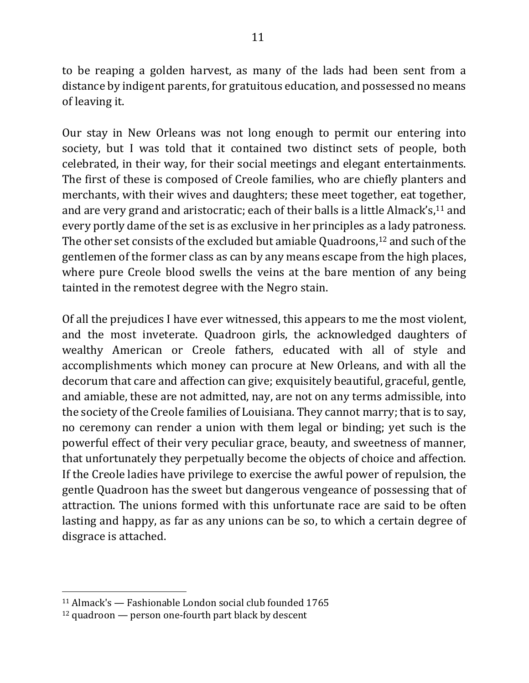to be reaping a golden harvest, as many of the lads had been sent from a distance by indigent parents, for gratuitous education, and possessed no means of leaving it.

Our stay in New Orleans was not long enough to permit our entering into society, but I was told that it contained two distinct sets of people, both celebrated, in their way, for their social meetings and elegant entertainments. The first of these is composed of Creole families, who are chiefly planters and merchants, with their wives and daughters; these meet together, eat together, and are very grand and aristocratic; each of their balls is a little Almack's, $11$  and every portly dame of the set is as exclusive in her principles as a lady patroness. The other set consists of the excluded but amiable Quadroons, $12$  and such of the gentlemen of the former class as can by any means escape from the high places, where pure Creole blood swells the veins at the bare mention of any being tainted in the remotest degree with the Negro stain.

Of all the prejudices I have ever witnessed, this appears to me the most violent, and the most inveterate. Quadroon girls, the acknowledged daughters of wealthy American or Creole fathers, educated with all of style and accomplishments which money can procure at New Orleans, and with all the decorum that care and affection can give; exquisitely beautiful, graceful, gentle, and amiable, these are not admitted, nay, are not on any terms admissible, into the society of the Creole families of Louisiana. They cannot marry; that is to say, no ceremony can render a union with them legal or binding; yet such is the powerful effect of their very peculiar grace, beauty, and sweetness of manner, that unfortunately they perpetually become the objects of choice and affection. If the Creole ladies have privilege to exercise the awful power of repulsion, the gentle Quadroon has the sweet but dangerous vengeance of possessing that of attraction. The unions formed with this unfortunate race are said to be often lasting and happy, as far as any unions can be so, to which a certain degree of disgrace is attached.

 $11$  Almack's  $-$  Fashionable London social club founded 1765

 $12$  quadroon — person one-fourth part black by descent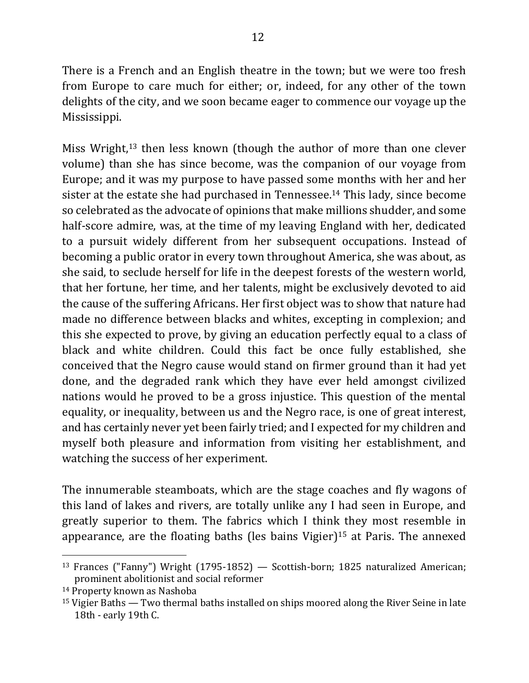There is a French and an English theatre in the town; but we were too fresh from Europe to care much for either; or, indeed, for any other of the town delights of the city, and we soon became eager to commence our voyage up the Mississippi. 

Miss Wright,<sup>13</sup> then less known (though the author of more than one clever volume) than she has since become, was the companion of our voyage from Europe; and it was my purpose to have passed some months with her and her sister at the estate she had purchased in Tennessee.<sup>14</sup> This lady, since become so celebrated as the advocate of opinions that make millions shudder, and some half-score admire, was, at the time of my leaving England with her, dedicated to a pursuit widely different from her subsequent occupations. Instead of becoming a public orator in every town throughout America, she was about, as she said, to seclude herself for life in the deepest forests of the western world, that her fortune, her time, and her talents, might be exclusively devoted to aid the cause of the suffering Africans. Her first object was to show that nature had made no difference between blacks and whites, excepting in complexion; and this she expected to prove, by giving an education perfectly equal to a class of black and white children. Could this fact be once fully established, she conceived that the Negro cause would stand on firmer ground than it had yet done, and the degraded rank which they have ever held amongst civilized nations would he proved to be a gross injustice. This question of the mental equality, or inequality, between us and the Negro race, is one of great interest, and has certainly never yet been fairly tried; and I expected for my children and myself both pleasure and information from visiting her establishment, and watching the success of her experiment.

The innumerable steamboats, which are the stage coaches and fly wagons of this land of lakes and rivers, are totally unlike any I had seen in Europe, and greatly superior to them. The fabrics which I think they most resemble in appearance, are the floating baths (les bains Vigier)<sup>15</sup> at Paris. The annexed

<sup>&</sup>lt;sup>13</sup> Frances ("Fanny") Wright  $(1795-1852)$  — Scottish-born; 1825 naturalized American; prominent abolitionist and social reformer

<sup>&</sup>lt;sup>14</sup> Property known as Nashoba

 $15$  Vigier Baths — Two thermal baths installed on ships moored along the River Seine in late 18th - early 19th C.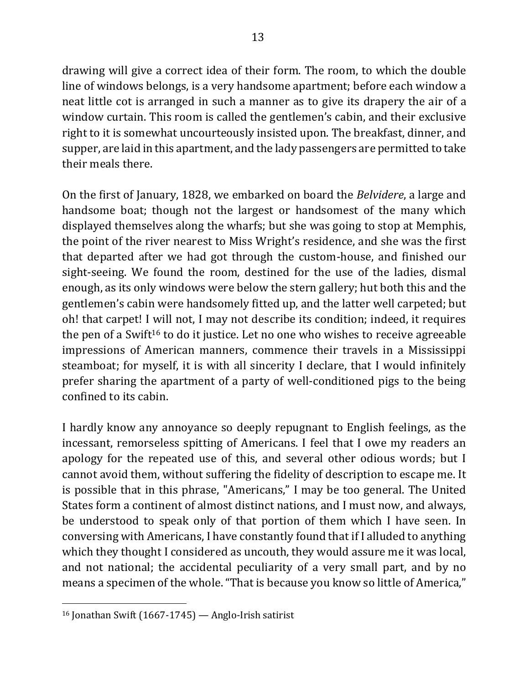drawing will give a correct idea of their form. The room, to which the double line of windows belongs, is a very handsome apartment; before each window a neat little cot is arranged in such a manner as to give its drapery the air of a window curtain. This room is called the gentlemen's cabin, and their exclusive right to it is somewhat uncourteously insisted upon. The breakfast, dinner, and supper, are laid in this apartment, and the lady passengers are permitted to take their meals there.

On the first of January, 1828, we embarked on board the *Belvidere*, a large and handsome boat; though not the largest or handsomest of the many which displayed themselves along the wharfs; but she was going to stop at Memphis, the point of the river nearest to Miss Wright's residence, and she was the first that departed after we had got through the custom-house, and finished our sight-seeing. We found the room, destined for the use of the ladies, dismal enough, as its only windows were below the stern gallery; hut both this and the gentlemen's cabin were handsomely fitted up, and the latter well carpeted; but oh! that carpet! I will not, I may not describe its condition; indeed, it requires the pen of a Swift<sup>16</sup> to do it justice. Let no one who wishes to receive agreeable impressions of American manners, commence their travels in a Mississippi steamboat; for myself, it is with all sincerity I declare, that I would infinitely prefer sharing the apartment of a party of well-conditioned pigs to the being confined to its cabin.

I hardly know any annoyance so deeply repugnant to English feelings, as the incessant, remorseless spitting of Americans. I feel that I owe my readers an apology for the repeated use of this, and several other odious words; but I cannot avoid them, without suffering the fidelity of description to escape me. It is possible that in this phrase, "Americans," I may be too general. The United States form a continent of almost distinct nations, and I must now, and always, be understood to speak only of that portion of them which I have seen. In conversing with Americans, I have constantly found that if I alluded to anything which they thought I considered as uncouth, they would assure me it was local, and not national; the accidental peculiarity of a very small part, and by no means a specimen of the whole. "That is because you know so little of America,"

 $\overline{\phantom{a}}$ 

 $16$  Jonathan Swift  $(1667-1745)$  — Anglo-Irish satirist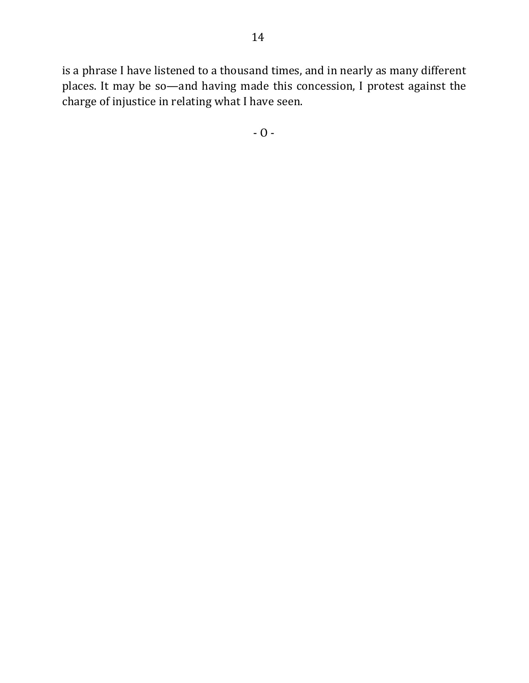is a phrase I have listened to a thousand times, and in nearly as many different places. It may be so—and having made this concession, I protest against the charge of injustice in relating what I have seen.

 $-0 -$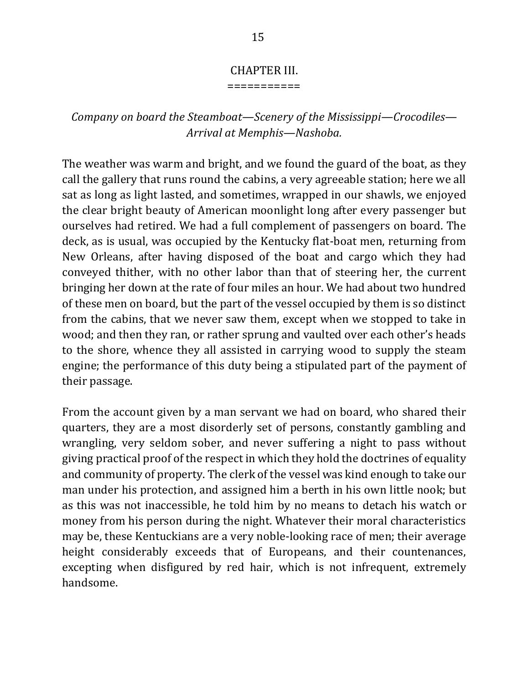#### **CHAPTER III.**

===========

## *Company* on board the Steamboat—Scenery of the Mississippi—Crocodiles— *Arrival at Memphis—Nashoba.*

The weather was warm and bright, and we found the guard of the boat, as they call the gallery that runs round the cabins, a very agreeable station; here we all sat as long as light lasted, and sometimes, wrapped in our shawls, we enjoyed the clear bright beauty of American moonlight long after every passenger but ourselves had retired. We had a full complement of passengers on board. The deck, as is usual, was occupied by the Kentucky flat-boat men, returning from New Orleans, after having disposed of the boat and cargo which they had conveyed thither, with no other labor than that of steering her, the current bringing her down at the rate of four miles an hour. We had about two hundred of these men on board, but the part of the vessel occupied by them is so distinct from the cabins, that we never saw them, except when we stopped to take in wood; and then they ran, or rather sprung and vaulted over each other's heads to the shore, whence they all assisted in carrying wood to supply the steam engine; the performance of this duty being a stipulated part of the payment of their passage.

From the account given by a man servant we had on board, who shared their quarters, they are a most disorderly set of persons, constantly gambling and wrangling, very seldom sober, and never suffering a night to pass without giving practical proof of the respect in which they hold the doctrines of equality and community of property. The clerk of the vessel was kind enough to take our man under his protection, and assigned him a berth in his own little nook; but as this was not inaccessible, he told him by no means to detach his watch or money from his person during the night. Whatever their moral characteristics may be, these Kentuckians are a very noble-looking race of men; their average height considerably exceeds that of Europeans, and their countenances, excepting when disfigured by red hair, which is not infrequent, extremely handsome.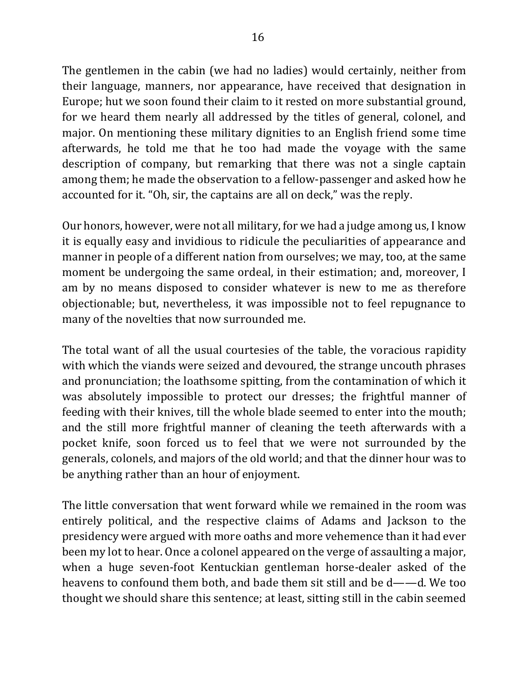The gentlemen in the cabin (we had no ladies) would certainly, neither from their language, manners, nor appearance, have received that designation in Europe; hut we soon found their claim to it rested on more substantial ground, for we heard them nearly all addressed by the titles of general, colonel, and major. On mentioning these military dignities to an English friend some time afterwards, he told me that he too had made the voyage with the same description of company, but remarking that there was not a single captain among them; he made the observation to a fellow-passenger and asked how he accounted for it. "Oh, sir, the captains are all on deck," was the reply.

Our honors, however, were not all military, for we had a judge among us, I know it is equally easy and invidious to ridicule the peculiarities of appearance and manner in people of a different nation from ourselves; we may, too, at the same moment be undergoing the same ordeal, in their estimation; and, moreover, I am by no means disposed to consider whatever is new to me as therefore objectionable; but, nevertheless, it was impossible not to feel repugnance to many of the novelties that now surrounded me.

The total want of all the usual courtesies of the table, the voracious rapidity with which the viands were seized and devoured, the strange uncouth phrases and pronunciation; the loathsome spitting, from the contamination of which it was absolutely impossible to protect our dresses; the frightful manner of feeding with their knives, till the whole blade seemed to enter into the mouth; and the still more frightful manner of cleaning the teeth afterwards with a pocket knife, soon forced us to feel that we were not surrounded by the generals, colonels, and majors of the old world; and that the dinner hour was to be anything rather than an hour of enjoyment.

The little conversation that went forward while we remained in the room was entirely political, and the respective claims of Adams and Jackson to the presidency were argued with more oaths and more vehemence than it had ever been my lot to hear. Once a colonel appeared on the verge of assaulting a major, when a huge seven-foot Kentuckian gentleman horse-dealer asked of the heavens to confound them both, and bade them sit still and be  $d$ ——d. We too thought we should share this sentence; at least, sitting still in the cabin seemed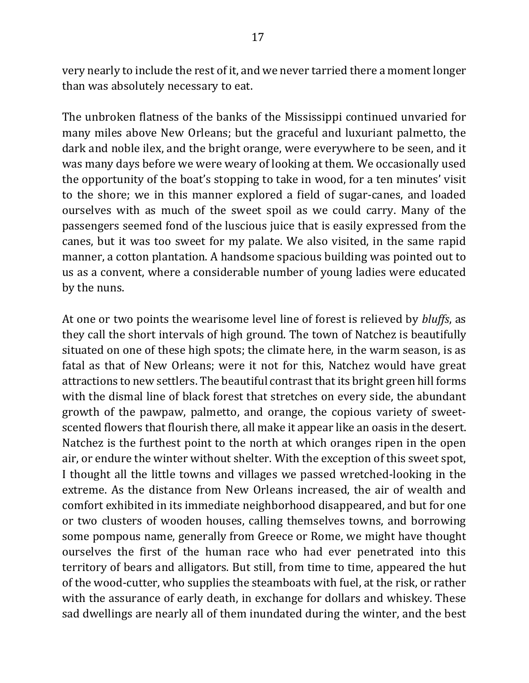very nearly to include the rest of it, and we never tarried there a moment longer than was absolutely necessary to eat.

The unbroken flatness of the banks of the Mississippi continued unvaried for many miles above New Orleans; but the graceful and luxuriant palmetto, the dark and noble ilex, and the bright orange, were everywhere to be seen, and it was many days before we were weary of looking at them. We occasionally used the opportunity of the boat's stopping to take in wood, for a ten minutes' visit to the shore; we in this manner explored a field of sugar-canes, and loaded ourselves with as much of the sweet spoil as we could carry. Many of the passengers seemed fond of the luscious juice that is easily expressed from the canes, but it was too sweet for my palate. We also visited, in the same rapid manner, a cotton plantation. A handsome spacious building was pointed out to us as a convent, where a considerable number of young ladies were educated by the nuns.

At one or two points the wearisome level line of forest is relieved by *bluffs*, as they call the short intervals of high ground. The town of Natchez is beautifully situated on one of these high spots; the climate here, in the warm season, is as fatal as that of New Orleans; were it not for this, Natchez would have great attractions to new settlers. The beautiful contrast that its bright green hill forms with the dismal line of black forest that stretches on every side, the abundant growth of the pawpaw, palmetto, and orange, the copious variety of sweetscented flowers that flourish there, all make it appear like an oasis in the desert. Natchez is the furthest point to the north at which oranges ripen in the open air, or endure the winter without shelter. With the exception of this sweet spot, I thought all the little towns and villages we passed wretched-looking in the extreme. As the distance from New Orleans increased, the air of wealth and comfort exhibited in its immediate neighborhood disappeared, and but for one or two clusters of wooden houses, calling themselves towns, and borrowing some pompous name, generally from Greece or Rome, we might have thought ourselves the first of the human race who had ever penetrated into this territory of bears and alligators. But still, from time to time, appeared the hut of the wood-cutter, who supplies the steamboats with fuel, at the risk, or rather with the assurance of early death, in exchange for dollars and whiskey. These sad dwellings are nearly all of them inundated during the winter, and the best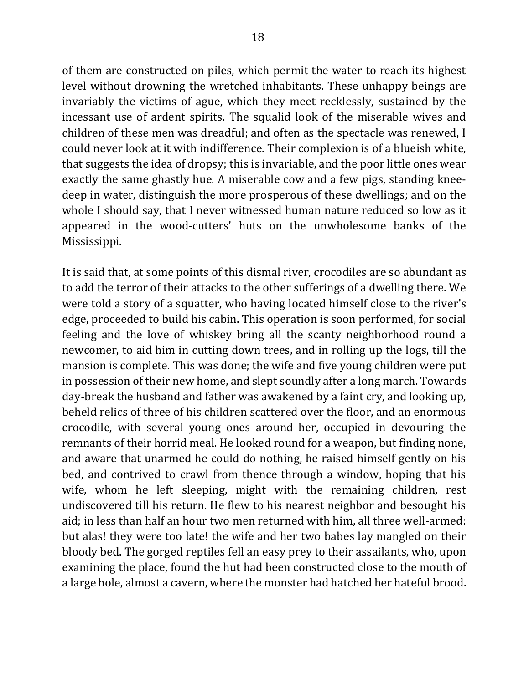of them are constructed on piles, which permit the water to reach its highest level without drowning the wretched inhabitants. These unhappy beings are invariably the victims of ague, which they meet recklessly, sustained by the incessant use of ardent spirits. The squalid look of the miserable wives and children of these men was dreadful; and often as the spectacle was renewed, I could never look at it with indifference. Their complexion is of a blueish white, that suggests the idea of dropsy; this is invariable, and the poor little ones wear

exactly the same ghastly hue. A miserable cow and a few pigs, standing kneedeep in water, distinguish the more prosperous of these dwellings; and on the whole I should say, that I never witnessed human nature reduced so low as it appeared in the wood-cutters' huts on the unwholesome banks of the Mississippi. 

It is said that, at some points of this dismal river, crocodiles are so abundant as to add the terror of their attacks to the other sufferings of a dwelling there. We were told a story of a squatter, who having located himself close to the river's edge, proceeded to build his cabin. This operation is soon performed, for social feeling and the love of whiskey bring all the scanty neighborhood round a newcomer, to aid him in cutting down trees, and in rolling up the logs, till the mansion is complete. This was done; the wife and five young children were put in possession of their new home, and slept soundly after a long march. Towards day-break the husband and father was awakened by a faint cry, and looking up, beheld relics of three of his children scattered over the floor, and an enormous crocodile, with several young ones around her, occupied in devouring the remnants of their horrid meal. He looked round for a weapon, but finding none, and aware that unarmed he could do nothing, he raised himself gently on his bed, and contrived to crawl from thence through a window, hoping that his wife, whom he left sleeping, might with the remaining children, rest undiscovered till his return. He flew to his nearest neighbor and besought his aid; in less than half an hour two men returned with him, all three well-armed: but alas! they were too late! the wife and her two babes lay mangled on their bloody bed. The gorged reptiles fell an easy prey to their assailants, who, upon examining the place, found the hut had been constructed close to the mouth of a large hole, almost a cavern, where the monster had hatched her hateful brood.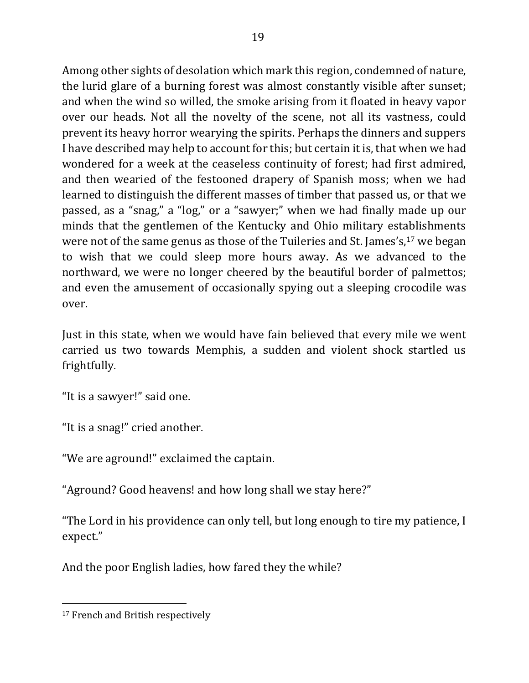Among other sights of desolation which mark this region, condemned of nature, the lurid glare of a burning forest was almost constantly visible after sunset; and when the wind so willed, the smoke arising from it floated in heavy vapor over our heads. Not all the novelty of the scene, not all its vastness, could prevent its heavy horror wearying the spirits. Perhaps the dinners and suppers I have described may help to account for this; but certain it is, that when we had wondered for a week at the ceaseless continuity of forest; had first admired, and then wearied of the festooned drapery of Spanish moss; when we had learned to distinguish the different masses of timber that passed us, or that we passed, as a "snag," a "log," or a "sawyer;" when we had finally made up our minds that the gentlemen of the Kentucky and Ohio military establishments were not of the same genus as those of the Tuileries and St. James's, $17$  we began to wish that we could sleep more hours away. As we advanced to the northward, we were no longer cheered by the beautiful border of palmettos; and even the amusement of occasionally spying out a sleeping crocodile was over. 

Just in this state, when we would have fain believed that every mile we went carried us two towards Memphis, a sudden and violent shock startled us frightfully. 

"It is a sawyer!" said one.

"It is a snag!" cried another.

"We are aground!" exclaimed the captain.

"Aground? Good heavens! and how long shall we stay here?"

"The Lord in his providence can only tell, but long enough to tire my patience, I expect." 

And the poor English ladies, how fared they the while?

 $\overline{\phantom{a}}$ 

<sup>&</sup>lt;sup>17</sup> French and British respectively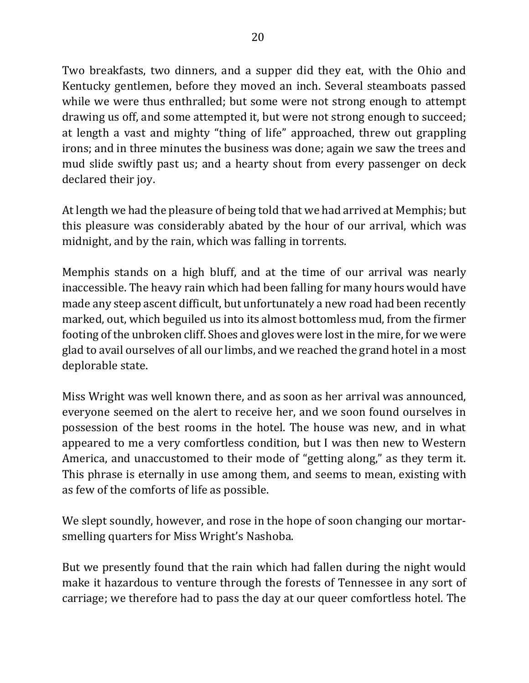Two breakfasts, two dinners, and a supper did they eat, with the Ohio and Kentucky gentlemen, before they moved an inch. Several steamboats passed while we were thus enthralled; but some were not strong enough to attempt drawing us off, and some attempted it, but were not strong enough to succeed; at length a vast and mighty "thing of life" approached, threw out grappling irons; and in three minutes the business was done; again we saw the trees and mud slide swiftly past us; and a hearty shout from every passenger on deck declared their joy.

At length we had the pleasure of being told that we had arrived at Memphis; but this pleasure was considerably abated by the hour of our arrival, which was midnight, and by the rain, which was falling in torrents.

Memphis stands on a high bluff, and at the time of our arrival was nearly inaccessible. The heavy rain which had been falling for many hours would have made any steep ascent difficult, but unfortunately a new road had been recently marked, out, which beguiled us into its almost bottomless mud, from the firmer footing of the unbroken cliff. Shoes and gloves were lost in the mire, for we were glad to avail ourselves of all our limbs, and we reached the grand hotel in a most deplorable state.

Miss Wright was well known there, and as soon as her arrival was announced, everyone seemed on the alert to receive her, and we soon found ourselves in possession of the best rooms in the hotel. The house was new, and in what appeared to me a very comfortless condition, but I was then new to Western America, and unaccustomed to their mode of "getting along," as they term it. This phrase is eternally in use among them, and seems to mean, existing with as few of the comforts of life as possible.

We slept soundly, however, and rose in the hope of soon changing our mortarsmelling quarters for Miss Wright's Nashoba.

But we presently found that the rain which had fallen during the night would make it hazardous to venture through the forests of Tennessee in any sort of carriage; we therefore had to pass the day at our queer comfortless hotel. The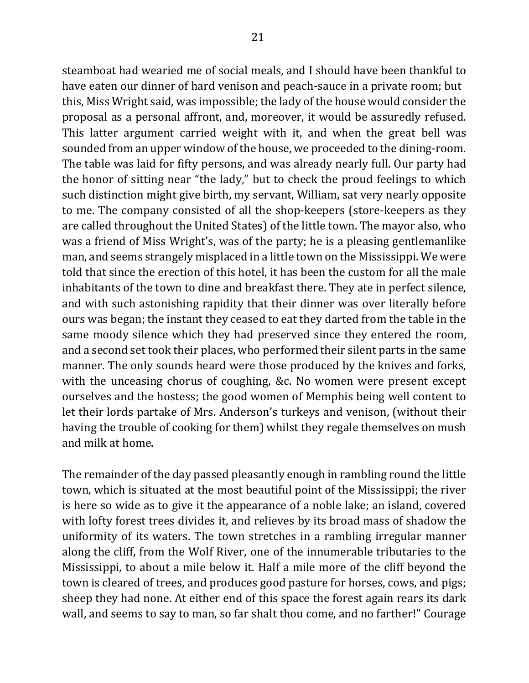steamboat had wearied me of social meals, and I should have been thankful to have eaten our dinner of hard venison and peach-sauce in a private room; but this, Miss Wright said, was impossible; the lady of the house would consider the proposal as a personal affront, and, moreover, it would be assuredly refused. This latter argument carried weight with it, and when the great bell was sounded from an upper window of the house, we proceeded to the dining-room. The table was laid for fifty persons, and was already nearly full. Our party had the honor of sitting near "the lady," but to check the proud feelings to which such distinction might give birth, my servant, William, sat very nearly opposite to me. The company consisted of all the shop-keepers (store-keepers as they are called throughout the United States) of the little town. The mayor also, who was a friend of Miss Wright's, was of the party; he is a pleasing gentlemanlike man, and seems strangely misplaced in a little town on the Mississippi. We were told that since the erection of this hotel, it has been the custom for all the male inhabitants of the town to dine and breakfast there. They ate in perfect silence, and with such astonishing rapidity that their dinner was over literally before ours was began; the instant they ceased to eat they darted from the table in the same moody silence which they had preserved since they entered the room, and a second set took their places, who performed their silent parts in the same manner. The only sounds heard were those produced by the knives and forks, with the unceasing chorus of coughing, &c. No women were present except ourselves and the hostess; the good women of Memphis being well content to let their lords partake of Mrs. Anderson's turkeys and venison, (without their having the trouble of cooking for them) whilst they regale themselves on mush and milk at home.

The remainder of the day passed pleasantly enough in rambling round the little town, which is situated at the most beautiful point of the Mississippi; the river is here so wide as to give it the appearance of a noble lake; an island, covered with lofty forest trees divides it, and relieves by its broad mass of shadow the uniformity of its waters. The town stretches in a rambling irregular manner along the cliff, from the Wolf River, one of the innumerable tributaries to the Mississippi, to about a mile below it. Half a mile more of the cliff beyond the town is cleared of trees, and produces good pasture for horses, cows, and pigs; sheep they had none. At either end of this space the forest again rears its dark wall, and seems to say to man, so far shalt thou come, and no farther!" Courage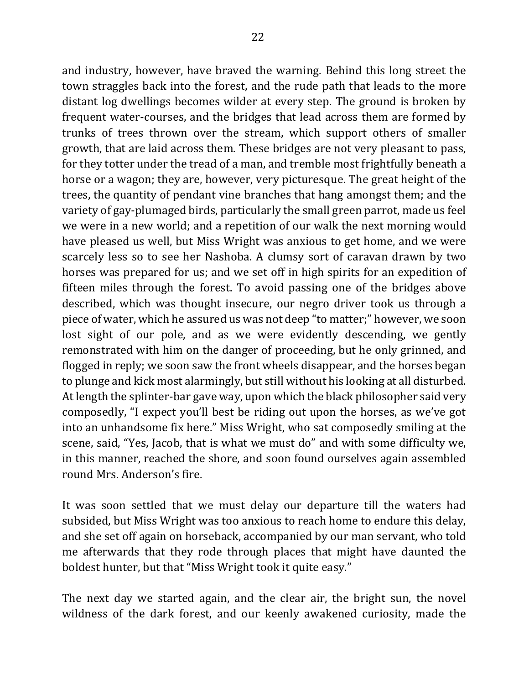and industry, however, have braved the warning. Behind this long street the town straggles back into the forest, and the rude path that leads to the more distant log dwellings becomes wilder at every step. The ground is broken by frequent water-courses, and the bridges that lead across them are formed by trunks of trees thrown over the stream, which support others of smaller growth, that are laid across them. These bridges are not very pleasant to pass, for they totter under the tread of a man, and tremble most frightfully beneath a horse or a wagon; they are, however, very picturesque. The great height of the trees, the quantity of pendant vine branches that hang amongst them; and the variety of gay-plumaged birds, particularly the small green parrot, made us feel we were in a new world; and a repetition of our walk the next morning would have pleased us well, but Miss Wright was anxious to get home, and we were scarcely less so to see her Nashoba. A clumsy sort of caravan drawn by two horses was prepared for us; and we set off in high spirits for an expedition of fifteen miles through the forest. To avoid passing one of the bridges above described, which was thought insecure, our negro driver took us through a piece of water, which he assured us was not deep "to matter;" however, we soon lost sight of our pole, and as we were evidently descending, we gently remonstrated with him on the danger of proceeding, but he only grinned, and flogged in reply; we soon saw the front wheels disappear, and the horses began to plunge and kick most alarmingly, but still without his looking at all disturbed. At length the splinter-bar gave way, upon which the black philosopher said very composedly, "I expect you'll best be riding out upon the horses, as we've got into an unhandsome fix here." Miss Wright, who sat composedly smiling at the scene, said, "Yes, Jacob, that is what we must do" and with some difficulty we, in this manner, reached the shore, and soon found ourselves again assembled round Mrs. Anderson's fire.

It was soon settled that we must delay our departure till the waters had subsided, but Miss Wright was too anxious to reach home to endure this delay, and she set off again on horseback, accompanied by our man servant, who told me afterwards that they rode through places that might have daunted the boldest hunter, but that "Miss Wright took it quite easy."

The next day we started again, and the clear air, the bright sun, the novel wildness of the dark forest, and our keenly awakened curiosity, made the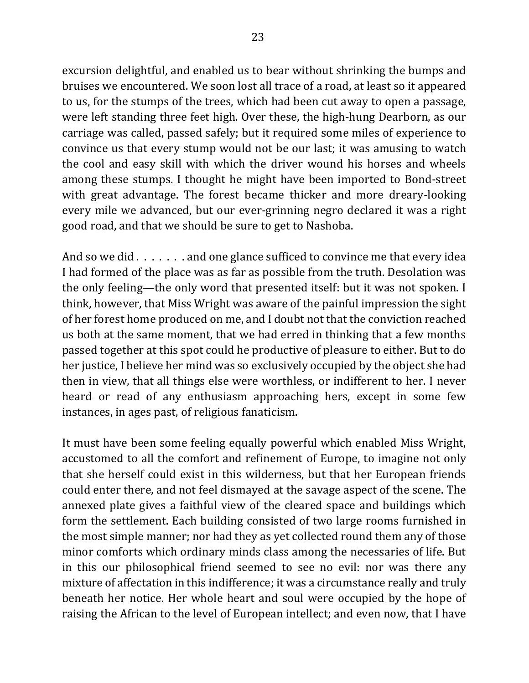excursion delightful, and enabled us to bear without shrinking the bumps and bruises we encountered. We soon lost all trace of a road, at least so it appeared to us, for the stumps of the trees, which had been cut away to open a passage, were left standing three feet high. Over these, the high-hung Dearborn, as our carriage was called, passed safely; but it required some miles of experience to convince us that every stump would not be our last; it was amusing to watch the cool and easy skill with which the driver wound his horses and wheels among these stumps. I thought he might have been imported to Bond-street with great advantage. The forest became thicker and more dreary-looking every mile we advanced, but our ever-grinning negro declared it was a right good road, and that we should be sure to get to Nashoba.

And so we did  $\dots \dots$  and one glance sufficed to convince me that every idea I had formed of the place was as far as possible from the truth. Desolation was the only feeling—the only word that presented itself: but it was not spoken. I think, however, that Miss Wright was aware of the painful impression the sight of her forest home produced on me, and I doubt not that the conviction reached us both at the same moment, that we had erred in thinking that a few months passed together at this spot could he productive of pleasure to either. But to do her justice, I believe her mind was so exclusively occupied by the object she had then in view, that all things else were worthless, or indifferent to her. I never heard or read of any enthusiasm approaching hers, except in some few instances, in ages past, of religious fanaticism.

It must have been some feeling equally powerful which enabled Miss Wright, accustomed to all the comfort and refinement of Europe, to imagine not only that she herself could exist in this wilderness, but that her European friends could enter there, and not feel dismayed at the savage aspect of the scene. The annexed plate gives a faithful view of the cleared space and buildings which form the settlement. Each building consisted of two large rooms furnished in the most simple manner; nor had they as yet collected round them any of those minor comforts which ordinary minds class among the necessaries of life. But in this our philosophical friend seemed to see no evil: nor was there any mixture of affectation in this indifference; it was a circumstance really and truly beneath her notice. Her whole heart and soul were occupied by the hope of raising the African to the level of European intellect; and even now, that I have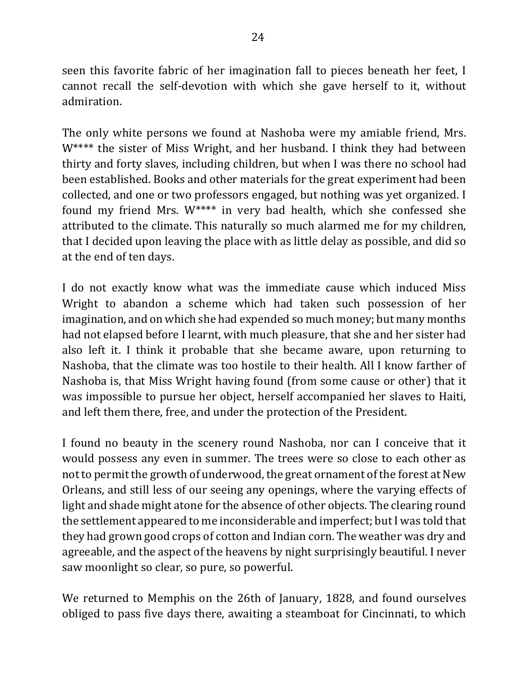seen this favorite fabric of her imagination fall to pieces beneath her feet, I cannot recall the self-devotion with which she gave herself to it, without admiration. 

The only white persons we found at Nashoba were my amiable friend, Mrs. W\*\*\*\* the sister of Miss Wright, and her husband. I think they had between thirty and forty slaves, including children, but when I was there no school had been established. Books and other materials for the great experiment had been collected, and one or two professors engaged, but nothing was yet organized. I found my friend Mrs.  $W^{***}$  in very bad health, which she confessed she attributed to the climate. This naturally so much alarmed me for my children, that I decided upon leaving the place with as little delay as possible, and did so at the end of ten days.

I do not exactly know what was the immediate cause which induced Miss Wright to abandon a scheme which had taken such possession of her imagination, and on which she had expended so much money; but many months had not elapsed before I learnt, with much pleasure, that she and her sister had also left it. I think it probable that she became aware, upon returning to Nashoba, that the climate was too hostile to their health. All I know farther of Nashoba is, that Miss Wright having found (from some cause or other) that it was impossible to pursue her object, herself accompanied her slaves to Haiti, and left them there, free, and under the protection of the President.

I found no beauty in the scenery round Nashoba, nor can I conceive that it would possess any even in summer. The trees were so close to each other as not to permit the growth of underwood, the great ornament of the forest at New Orleans, and still less of our seeing any openings, where the varying effects of light and shade might atone for the absence of other objects. The clearing round the settlement appeared to me inconsiderable and imperfect; but I was told that they had grown good crops of cotton and Indian corn. The weather was dry and agreeable, and the aspect of the heavens by night surprisingly beautiful. I never saw moonlight so clear, so pure, so powerful.

We returned to Memphis on the 26th of January, 1828, and found ourselves obliged to pass five days there, awaiting a steamboat for Cincinnati, to which